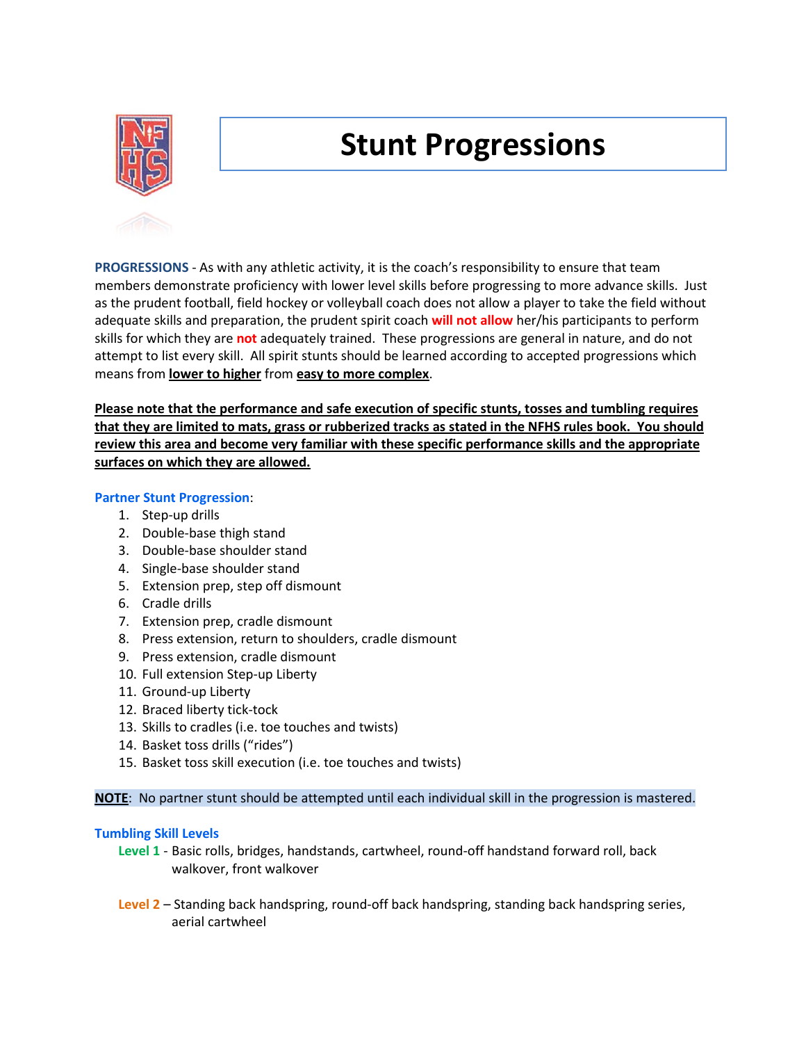

# **Stunt Progressions**

**PROGRESSIONS** - As with any athletic activity, it is the coach's responsibility to ensure that team members demonstrate proficiency with lower level skills before progressing to more advance skills. Just as the prudent football, field hockey or volleyball coach does not allow a player to take the field without adequate skills and preparation, the prudent spirit coach **will not allow** her/his participants to perform skills for which they are **not** adequately trained. These progressions are general in nature, and do not attempt to list every skill. All spirit stunts should be learned according to accepted progressions which means from **lower to higher** from **easy to more complex**.

**Please note that the performance and safe execution of specific stunts, tosses and tumbling requires that they are limited to mats, grass or rubberized tracks as stated in the NFHS rules book. You should review this area and become very familiar with these specific performance skills and the appropriate surfaces on which they are allowed.**

## **Partner Stunt Progression**:

- 1. Step-up drills
- 2. Double-base thigh stand
- 3. Double-base shoulder stand
- 4. Single-base shoulder stand
- 5. Extension prep, step off dismount
- 6. Cradle drills
- 7. Extension prep, cradle dismount
- 8. Press extension, return to shoulders, cradle dismount
- 9. Press extension, cradle dismount
- 10. Full extension Step-up Liberty
- 11. Ground-up Liberty
- 12. Braced liberty tick-tock
- 13. Skills to cradles (i.e. toe touches and twists)
- 14. Basket toss drills ("rides")
- 15. Basket toss skill execution (i.e. toe touches and twists)

**NOTE**: No partner stunt should be attempted until each individual skill in the progression is mastered.

## **Tumbling Skill Levels**

- **Level 1** Basic rolls, bridges, handstands, cartwheel, round-off handstand forward roll, back walkover, front walkover
- **Level 2** Standing back handspring, round-off back handspring, standing back handspring series, aerial cartwheel